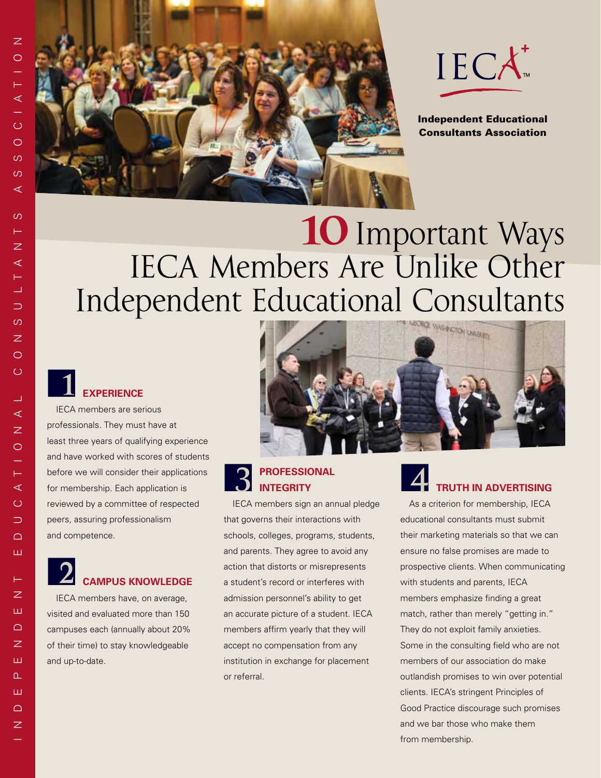



Independent Educational Consultants Association

# **10**Important Ways IECA Members Are Unlike Other Independent Educational Consultants

#### ■**experience 1**

IECA members are serious professionals. They must have at least three years of qualifying experience and have worked with scores of students before we will consider their applications for membership. Each application is reviewed by a committee of respected peers, assuring professionalism and competence.

#### ■**campus knowledge 2**

IECA members have, on average, visited and evaluated more than 150 campuses each (annually about 20% of their time) to stay knowledgeable and up-to-date.



#### **professional** ■**integrity 3 EXPLOSESSIONAL**

IECA members sign an annual pledge that governs their interactions with schools, colleges, programs, students, and parents. They agree to avoid any action that distorts or misrepresents a student's record or interferes with admission personnel's ability to get an accurate picture of a student. IECA members affirm yearly that they will accept no compensation from any institution in exchange for placement or referral.

### ■**truth in advertising**

As a criterion for membership, IECA educational consultants must submit their marketing materials so that we can ensure no false promises are made to prospective clients. When communicating with students and parents, IECA members emphasize finding a great match, rather than merely "getting in." They do not exploit family anxieties. Some in the consulting field who are not members of our association do make outlandish promises to win over potential clients. IECA's stringent Principles of Good Practice discourage such promises and we bar those who make them from membership.